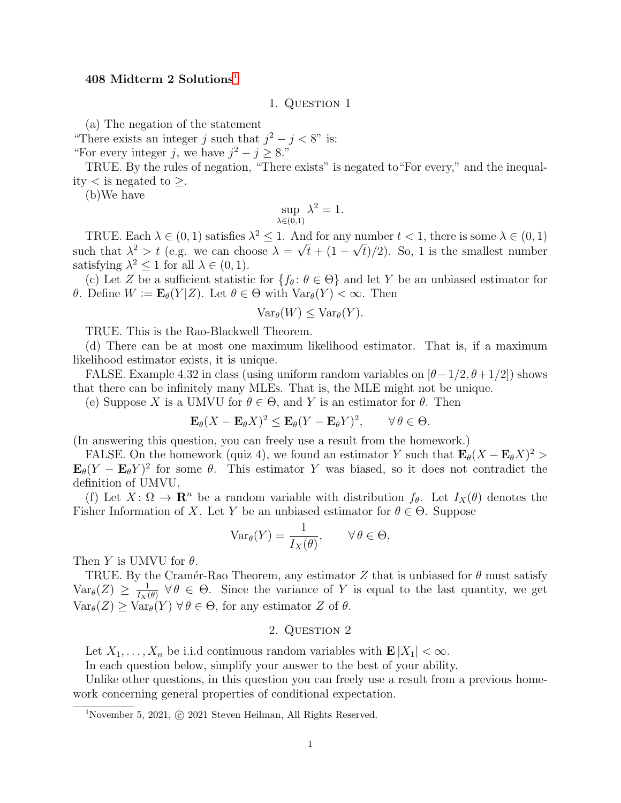# 408 Midterm 2 Solutions<sup>[1](#page-0-0)</sup>

1. Question 1

(a) The negation of the statement

"There exists an integer j such that  $j^2 - j < 8$ " is:

"For every integer j, we have  $j^2 - j \geq 8$ ."

TRUE. By the rules of negation, "There exists" is negated to"For every," and the inequality  $\lt$  is negated to  $\geq$ .

(b)We have

$$
\sup_{\lambda \in (0,1)} \lambda^2 = 1.
$$

TRUE. Each  $\lambda \in (0,1)$  satisfies  $\lambda^2 \leq 1$ . And for any number  $t < 1$ , there is some  $\lambda \in (0,1)$ such that  $\lambda^2 > t$  (e.g. we can choose  $\lambda = \sqrt{t} + (1 - \sqrt{t})/2$ ). So, 1 is the smallest number satisfying  $\lambda^2 \leq 1$  for all  $\lambda \in (0, 1)$ .

(c) Let Z be a sufficient statistic for  $\{f_\theta: \theta \in \Theta\}$  and let Y be an unbiased estimator for θ. Define  $W := \mathbf{E}_{\theta}(Y|Z)$ . Let θ ∈ Θ with  $Var_{\theta}(Y) < \infty$ . Then

$$
\text{Var}_{\theta}(W) \leq \text{Var}_{\theta}(Y).
$$

TRUE. This is the Rao-Blackwell Theorem.

(d) There can be at most one maximum likelihood estimator. That is, if a maximum likelihood estimator exists, it is unique.

FALSE. Example 4.32 in class (using uniform random variables on  $[\theta-1/2, \theta+1/2]$ ) shows that there can be infinitely many MLEs. That is, the MLE might not be unique.

(e) Suppose X is a UMVU for  $\theta \in \Theta$ , and Y is an estimator for  $\theta$ . Then

$$
\mathbf{E}_{\theta}(X - \mathbf{E}_{\theta}X)^2 \le \mathbf{E}_{\theta}(Y - \mathbf{E}_{\theta}Y)^2, \qquad \forall \theta \in \Theta.
$$

(In answering this question, you can freely use a result from the homework.)

FALSE. On the homework (quiz 4), we found an estimator Y such that  $\mathbf{E}_{\theta}(X - \mathbf{E}_{\theta}X)^2$  $\mathbf{E}_{\theta}(Y - \mathbf{E}_{\theta}Y)^2$  for some  $\theta$ . This estimator Y was biased, so it does not contradict the definition of UMVU.

(f) Let  $X: \Omega \to \mathbf{R}^n$  be a random variable with distribution  $f_\theta$ . Let  $I_X(\theta)$  denotes the Fisher Information of X. Let Y be an unbiased estimator for  $\theta \in \Theta$ . Suppose

$$
\text{Var}_{\theta}(Y) = \frac{1}{I_X(\theta)}, \qquad \forall \, \theta \in \Theta,
$$

Then Y is UMVU for  $\theta$ .

TRUE. By the Cramér-Rao Theorem, any estimator Z that is unbiased for  $\theta$  must satisfy  $Var_{\theta}(Z) \geq \frac{1}{I_Y(\theta)}$  $\frac{1}{I_X(\theta)} \forall \theta \in \Theta$ . Since the variance of Y is equal to the last quantity, we get  $Var_{\theta}(Z) \geq Var_{\theta}(Y)$   $\forall \theta \in \Theta$ , for any estimator Z of  $\theta$ .

# 2. QUESTION 2

Let  $X_1, \ldots, X_n$  be i.i.d continuous random variables with  $\mathbf{E}|X_1| < \infty$ .

In each question below, simplify your answer to the best of your ability.

Unlike other questions, in this question you can freely use a result from a previous homework concerning general properties of conditional expectation.

<span id="page-0-0"></span><sup>&</sup>lt;sup>1</sup>November 5, 2021,  $\odot$  2021 Steven Heilman, All Rights Reserved.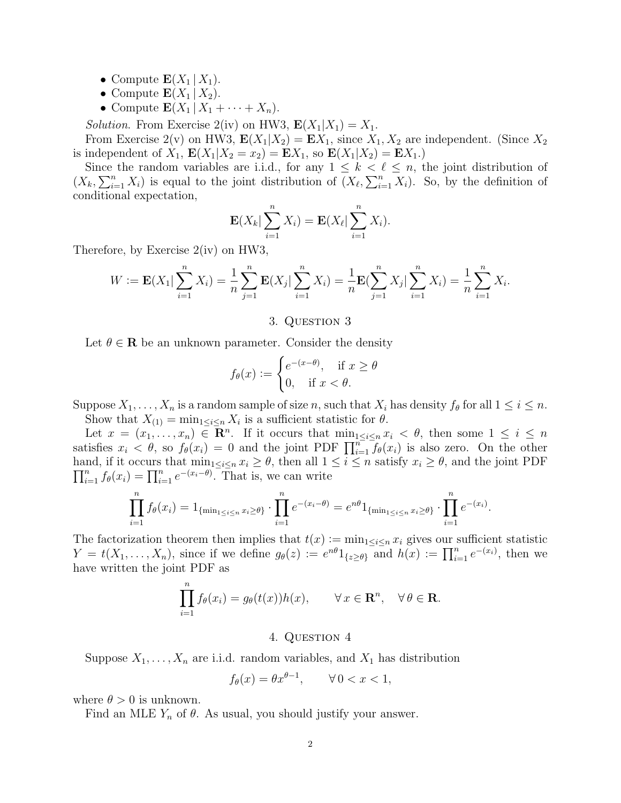- Compute  $\mathbf{E}(X_1 | X_1)$ .
- Compute  $\mathbf{E}(X_1 | X_2)$ .
- Compute  $\mathbf{E}(X_1 | X_1 + \cdots + X_n)$ .

*Solution*. From Exercise 2(iv) on HW3,  $\mathbf{E}(X_1|X_1) = X_1$ .

From Exercise 2(v) on HW3,  $\mathbf{E}(X_1|X_2) = \mathbf{E}X_1$ , since  $X_1, X_2$  are independent. (Since  $X_2$ is independent of  $X_1$ ,  $E(X_1|X_2 = x_2) = EX_1$ , so  $E(X_1|X_2) = EX_1$ .

Since the random variables are i.i.d., for any  $1 \leq k < \ell \leq n$ , the joint distribution of  $(X_k, \sum_{i=1}^n X_i)$  is equal to the joint distribution of  $(X_\ell, \sum_{i=1}^n X_i)$ . So, by the definition of conditional expectation,

$$
\mathbf{E}(X_k|\sum_{i=1}^n X_i) = \mathbf{E}(X_\ell|\sum_{i=1}^n X_i).
$$

Therefore, by Exercise 2(iv) on HW3,

$$
W := \mathbf{E}(X_1 | \sum_{i=1}^n X_i) = \frac{1}{n} \sum_{j=1}^n \mathbf{E}(X_j | \sum_{i=1}^n X_i) = \frac{1}{n} \mathbf{E}(\sum_{j=1}^n X_j | \sum_{i=1}^n X_i) = \frac{1}{n} \sum_{i=1}^n X_i.
$$

#### 3. QUESTION 3

Let  $\theta \in \mathbf{R}$  be an unknown parameter. Consider the density

$$
f_{\theta}(x) := \begin{cases} e^{-(x-\theta)}, & \text{if } x \ge \theta \\ 0, & \text{if } x < \theta. \end{cases}
$$

Suppose  $X_1, \ldots, X_n$  is a random sample of size n, such that  $X_i$  has density  $f_\theta$  for all  $1 \leq i \leq n$ . Show that  $X_{(1)} = \min_{1 \leq i \leq n} X_i$  is a sufficient statistic for  $\theta$ .

Let  $x = (x_1, \ldots, x_n) \in \mathbb{R}^n$ . If it occurs that  $\min_{1 \leq i \leq n} x_i < \theta$ , then some  $1 \leq i \leq n$ satisfies  $x_i < \theta$ , so  $f_{\theta}(x_i) = 0$  and the joint PDF  $\prod_{i=1}^{n} f_{\theta}(x_i)$  is also zero. On the other hand, if it occurs that  $\min_{1 \leq i \leq n} x_i \geq \theta$ , then all  $1 \leq i \leq n$  satisfy  $x_i \geq \theta$ , and the joint PDF  $\prod_{i=1}^{n} f_{\theta}(x_i) = \prod_{i=1}^{n} e^{-(x_i-\theta)}$ . That is, we can write

$$
\prod_{i=1}^{n} f_{\theta}(x_i) = 1_{\{\min_{1 \le i \le n} x_i \ge \theta\}} \cdot \prod_{i=1}^{n} e^{-(x_i - \theta)} = e^{n\theta} 1_{\{\min_{1 \le i \le n} x_i \ge \theta\}} \cdot \prod_{i=1}^{n} e^{-(x_i)}.
$$

The factorization theorem then implies that  $t(x) := \min_{1 \leq i \leq n} x_i$  gives our sufficient statistic  $Y = t(X_1, \ldots, X_n)$ , since if we define  $g_{\theta}(z) := e^{n\theta} 1_{\{z \ge \theta\}}$  and  $h(x) := \prod_{i=1}^n e^{-(x_i)}$ , then we have written the joint PDF as

$$
\prod_{i=1}^{n} f_{\theta}(x_i) = g_{\theta}(t(x))h(x), \qquad \forall x \in \mathbf{R}^n, \quad \forall \theta \in \mathbf{R}.
$$

### 4. QUESTION 4

Suppose  $X_1, \ldots, X_n$  are i.i.d. random variables, and  $X_1$  has distribution

$$
f_{\theta}(x) = \theta x^{\theta - 1}, \qquad \forall \, 0 < x < 1,
$$

where  $\theta > 0$  is unknown.

Find an MLE  $Y_n$  of  $\theta$ . As usual, you should justify your answer.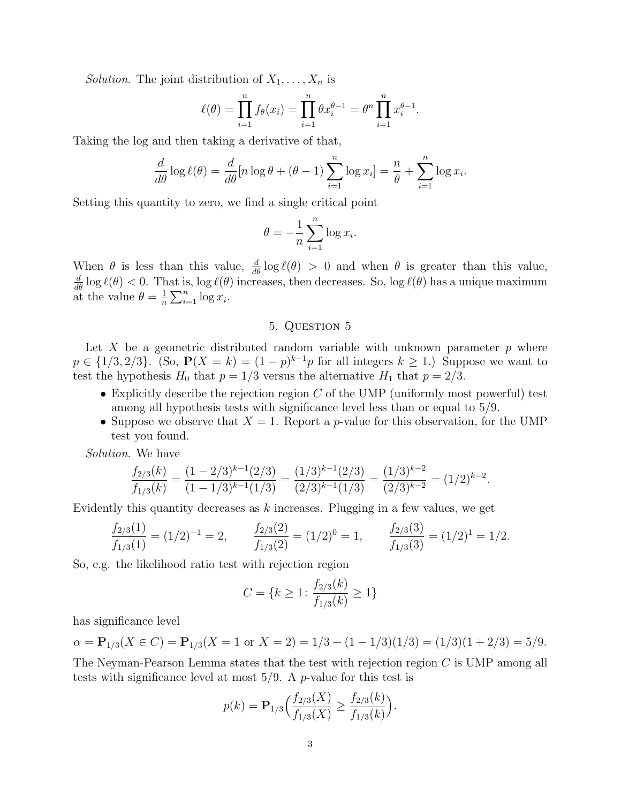*Solution*. The joint distribution of  $X_1, \ldots, X_n$  is

$$
\ell(\theta) = \prod_{i=1}^{n} f_{\theta}(x_i) = \prod_{i=1}^{n} \theta x_i^{\theta - 1} = \theta^n \prod_{i=1}^{n} x_i^{\theta - 1}.
$$

Taking the log and then taking a derivative of that,

$$
\frac{d}{d\theta}\log \ell(\theta) = \frac{d}{d\theta}[n\log \theta + (\theta - 1)\sum_{i=1}^{n}\log x_i] = \frac{n}{\theta} + \sum_{i=1}^{n}\log x_i.
$$

Setting this quantity to zero, we find a single critical point

$$
\theta = -\frac{1}{n} \sum_{i=1}^{n} \log x_i.
$$

When  $\theta$  is less than this value,  $\frac{d}{d\theta} \log \ell(\theta) > 0$  and when  $\theta$  is greater than this value,  $\frac{d}{d\theta}$  log  $\ell(\theta) < 0$ . That is, log  $\ell(\theta)$  increases, then decreases. So, log  $\ell(\theta)$  has a unique maximum at the value  $\theta = \frac{1}{n}$  $\frac{1}{n} \sum_{i=1}^{n} \log x_i.$ 

### 5. Question 5

Let X be a geometric distributed random variable with unknown parameter  $p$  where  $p \in \{1/3, 2/3\}$ . (So,  $P(X = k) = (1 - p)^{k-1}p$  for all integers  $k \ge 1$ .) Suppose we want to test the hypothesis  $H_0$  that  $p = 1/3$  versus the alternative  $H_1$  that  $p = 2/3$ .

- Explicitly describe the rejection region  $C$  of the UMP (uniformly most powerful) test among all hypothesis tests with significance level less than or equal to 5/9.
- Suppose we observe that  $X = 1$ . Report a *p*-value for this observation, for the UMP test you found.

Solution. We have

$$
\frac{f_{2/3}(k)}{f_{1/3}(k)} = \frac{(1-2/3)^{k-1}(2/3)}{(1-1/3)^{k-1}(1/3)} = \frac{(1/3)^{k-1}(2/3)}{(2/3)^{k-1}(1/3)} = \frac{(1/3)^{k-2}}{(2/3)^{k-2}} = (1/2)^{k-2}.
$$

Evidently this quantity decreases as  $k$  increases. Plugging in a few values, we get

$$
\frac{f_{2/3}(1)}{f_{1/3}(1)} = (1/2)^{-1} = 2, \qquad \frac{f_{2/3}(2)}{f_{1/3}(2)} = (1/2)^{0} = 1, \qquad \frac{f_{2/3}(3)}{f_{1/3}(3)} = (1/2)^{1} = 1/2.
$$

So, e.g. the likelihood ratio test with rejection region

$$
C = \{k \ge 1 : \frac{f_{2/3}(k)}{f_{1/3}(k)} \ge 1\}
$$

has significance level

 $\alpha = \mathbf{P}_{1/3}(X \in C) = \mathbf{P}_{1/3}(X = 1 \text{ or } X = 2) = 1/3 + (1 - 1/3)(1/3) = (1/3)(1 + 2/3) = 5/9.$ 

The Neyman-Pearson Lemma states that the test with rejection region C is UMP among all tests with significance level at most  $5/9$ . A p-value for this test is

$$
p(k) = \mathbf{P}_{1/3}\Big(\frac{f_{2/3}(X)}{f_{1/3}(X)} \ge \frac{f_{2/3}(k)}{f_{1/3}(k)}\Big).
$$